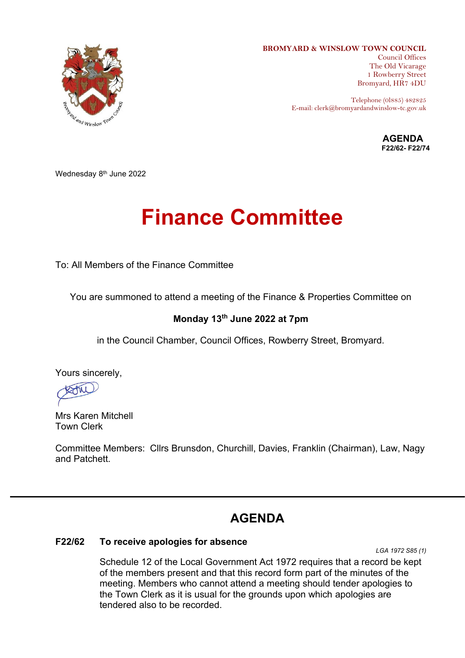

**BROMYARD & WINSLOW TOWN COUNCIL**

Council Offices The Old Vicarage 1 Rowberry Street Bromyard, HR7 4DU

Telephone (0l885) 482825 E-mail: clerk@bromyardandwinslow-tc.gov.uk

> **AGENDA F22/62- F22/74**

Wednesday 8<sup>th</sup> June 2022

# **Finance Committee**

To: All Members of the Finance Committee

You are summoned to attend a meeting of the Finance & Properties Committee on

# **Monday 13th June 2022 at 7pm**

in the Council Chamber, Council Offices, Rowberry Street, Bromyard.

Yours sincerely,

AM

Mrs Karen Mitchell Town Clerk

Committee Members: Cllrs Brunsdon, Churchill, Davies, Franklin (Chairman), Law, Nagy and Patchett.

# **AGENDA**

## **F22/62 To receive apologies for absence**

*LGA 1972 S85 (1)*

Schedule 12 of the Local Government Act 1972 requires that a record be kept of the members present and that this record form part of the minutes of the meeting. Members who cannot attend a meeting should tender apologies to the Town Clerk as it is usual for the grounds upon which apologies are tendered also to be recorded.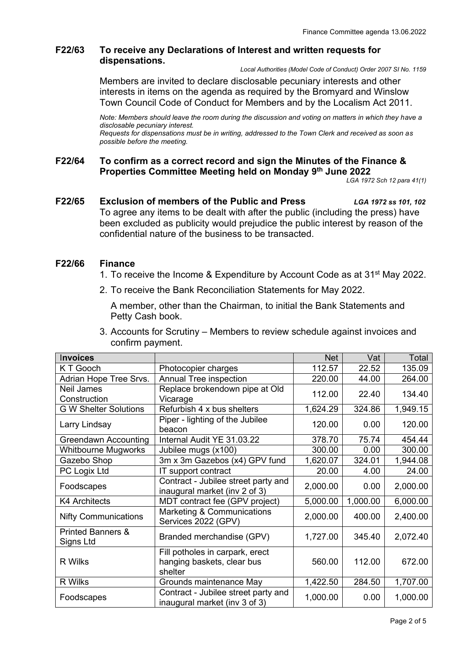# **F22/63 To receive any Declarations of Interest and written requests for dispensations.**

*Local Authorities (Model Code of Conduct) Order 2007 SI No. 1159*

Members are invited to declare disclosable pecuniary interests and other interests in items on the agenda as required by the Bromyard and Winslow Town Council Code of Conduct for Members and by the Localism Act 2011.

*Note: Members should leave the room during the discussion and voting on matters in which they have a disclosable pecuniary interest. Requests for dispensations must be in writing, addressed to the Town Clerk and received as soon as possible before the meeting.* 

# **F22/64 To confirm as a correct record and sign the Minutes of the Finance & Properties Committee Meeting held on Monday 9 th June 2022**

*LGA 1972 Sch 12 para 41(1)*

**F22/65 Exclusion of members of the Public and Press** *LGA 1972 ss 101, 102* To agree any items to be dealt with after the public (including the press) have been excluded as publicity would prejudice the public interest by reason of the confidential nature of the business to be transacted.

#### **F22/66 Finance**

- 1. To receive the Income & Expenditure by Account Code as at 31<sup>st</sup> May 2022.
- 2. To receive the Bank Reconciliation Statements for May 2022.

A member, other than the Chairman, to initial the Bank Statements and Petty Cash book.

3. Accounts for Scrutiny – Members to review schedule against invoices and confirm payment.

| <b>Invoices</b>                           |                                                                          | <b>Net</b> | Vat      | Total    |
|-------------------------------------------|--------------------------------------------------------------------------|------------|----------|----------|
| K T Gooch                                 | Photocopier charges                                                      | 112.57     | 22.52    | 135.09   |
| Adrian Hope Tree Srvs.                    | <b>Annual Tree inspection</b>                                            | 220.00     | 44.00    | 264.00   |
| <b>Neil James</b>                         | Replace brokendown pipe at Old                                           | 112.00     | 22.40    | 134.40   |
| Construction                              | Vicarage                                                                 |            |          |          |
| <b>G W Shelter Solutions</b>              | Refurbish 4 x bus shelters                                               | 1,624.29   | 324.86   | 1,949.15 |
| Larry Lindsay                             | Piper - lighting of the Jubilee<br>beacon                                | 120.00     | 0.00     | 120.00   |
| <b>Greendawn Accounting</b>               | Internal Audit YE 31.03.22                                               | 378.70     | 75.74    | 454.44   |
| <b>Whitbourne Mugworks</b>                | Jubilee mugs (x100)                                                      | 300.00     | 0.00     | 300.00   |
| Gazebo Shop                               | 3m x 3m Gazebos (x4) GPV fund                                            | 1,620.07   | 324.01   | 1,944.08 |
| PC Logix Ltd                              | IT support contract                                                      | 20.00      | 4.00     | 24.00    |
| Foodscapes                                | Contract - Jubilee street party and<br>inaugural market (inv 2 of 3)     | 2,000.00   | 0.00     | 2,000.00 |
| <b>K4 Architects</b>                      | MDT contract fee (GPV project)                                           | 5,000.00   | 1,000.00 | 6,000.00 |
| <b>Nifty Communications</b>               | Marketing & Communications<br>Services 2022 (GPV)                        | 2,000.00   | 400.00   | 2,400.00 |
| <b>Printed Banners &amp;</b><br>Signs Ltd | Branded merchandise (GPV)                                                | 1,727.00   | 345.40   | 2,072.40 |
| R Wilks                                   | Fill potholes in carpark, erect<br>hanging baskets, clear bus<br>shelter | 560.00     | 112.00   | 672.00   |
| R Wilks                                   | Grounds maintenance May                                                  | 1,422.50   | 284.50   | 1,707.00 |
| Foodscapes                                | Contract - Jubilee street party and<br>inaugural market (inv 3 of 3)     | 1,000.00   | 0.00     | 1,000.00 |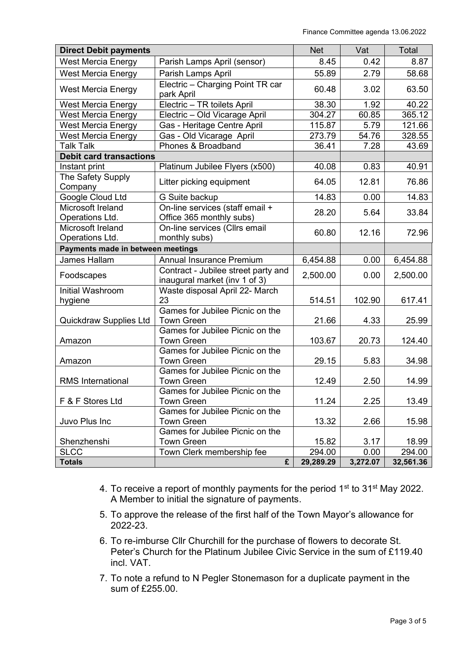| <b>Direct Debit payments</b>         |                                                             | <b>Net</b> | Vat      | Total     |
|--------------------------------------|-------------------------------------------------------------|------------|----------|-----------|
| <b>West Mercia Energy</b>            | Parish Lamps April (sensor)                                 | 8.45       | 0.42     | 8.87      |
| <b>West Mercia Energy</b>            | Parish Lamps April                                          | 55.89      | 2.79     | 58.68     |
| <b>West Mercia Energy</b>            | Electric - Charging Point TR car<br>park April              | 60.48      | 3.02     | 63.50     |
| <b>West Mercia Energy</b>            | Electric - TR toilets April                                 | 38.30      | 1.92     | 40.22     |
| West Mercia Energy                   | Electric - Old Vicarage April                               | 304.27     | 60.85    | 365.12    |
| <b>West Mercia Energy</b>            | Gas - Heritage Centre April                                 | 115.87     | 5.79     | 121.66    |
| <b>West Mercia Energy</b>            | Gas - Old Vicarage April                                    | 273.79     | 54.76    | 328.55    |
| <b>Talk Talk</b>                     | Phones & Broadband                                          | 36.41      | 7.28     | 43.69     |
| <b>Debit card transactions</b>       |                                                             |            |          |           |
| Instant print                        | Platinum Jubilee Flyers (x500)                              | 40.08      | 0.83     | 40.91     |
| The Safety Supply<br>Company         | Litter picking equipment                                    | 64.05      | 12.81    | 76.86     |
| Google Cloud Ltd                     | G Suite backup                                              | 14.83      | 0.00     | 14.83     |
| Microsoft Ireland<br>Operations Ltd. | On-line services (staff email +<br>Office 365 monthly subs) | 28.20      | 5.64     | 33.84     |
| Microsoft Ireland<br>Operations Ltd. | On-line services (Cllrs email<br>monthly subs)              | 60.80      | 12.16    | 72.96     |
| Payments made in between meetings    |                                                             |            |          |           |
| <b>James Hallam</b>                  | Annual Insurance Premium                                    | 6,454.88   | 0.00     | 6,454.88  |
|                                      | Contract - Jubilee street party and                         |            |          |           |
| Foodscapes                           | inaugural market (inv 1 of 3)                               | 2,500.00   | 0.00     | 2,500.00  |
| Initial Washroom                     | Waste disposal April 22- March                              |            |          |           |
| hygiene                              | 23                                                          | 514.51     | 102.90   | 617.41    |
| Quickdraw Supplies Ltd               | Games for Jubilee Picnic on the<br><b>Town Green</b>        | 21.66      | 4.33     | 25.99     |
| Amazon                               | Games for Jubilee Picnic on the<br><b>Town Green</b>        | 103.67     | 20.73    | 124.40    |
|                                      | Games for Jubilee Picnic on the                             |            |          |           |
| Amazon                               | <b>Town Green</b>                                           | 29.15      | 5.83     | 34.98     |
|                                      | Games for Jubilee Picnic on the                             |            |          |           |
| <b>RMS</b> International             | <b>Town Green</b>                                           | 12.49      | 2.50     | 14.99     |
|                                      | Games for Jubilee Picnic on the                             |            |          |           |
| F & F Stores Ltd                     | <b>Town Green</b>                                           | 11.24      | 2.25     | 13.49     |
|                                      | Games for Jubilee Picnic on the                             |            |          |           |
| Juvo Plus Inc                        | <b>Town Green</b>                                           | 13.32      | 2.66     | 15.98     |
|                                      | Games for Jubilee Picnic on the                             |            |          |           |
| Shenzhenshi                          | <b>Town Green</b>                                           | 15.82      | 3.17     | 18.99     |
| <b>SLCC</b>                          | Town Clerk membership fee                                   | 294.00     | 0.00     | 294.00    |
| <b>Totals</b>                        | £                                                           | 29,289.29  | 3,272.07 | 32,561.36 |

- 4. To receive a report of monthly payments for the period  $1<sup>st</sup>$  to  $31<sup>st</sup>$  May 2022. A Member to initial the signature of payments.
- 5. To approve the release of the first half of the Town Mayor's allowance for 2022-23.
- 6. To re-imburse Cllr Churchill for the purchase of flowers to decorate St. Peter's Church for the Platinum Jubilee Civic Service in the sum of £119.40 incl. VAT.
- 7. To note a refund to N Pegler Stonemason for a duplicate payment in the sum of £255.00.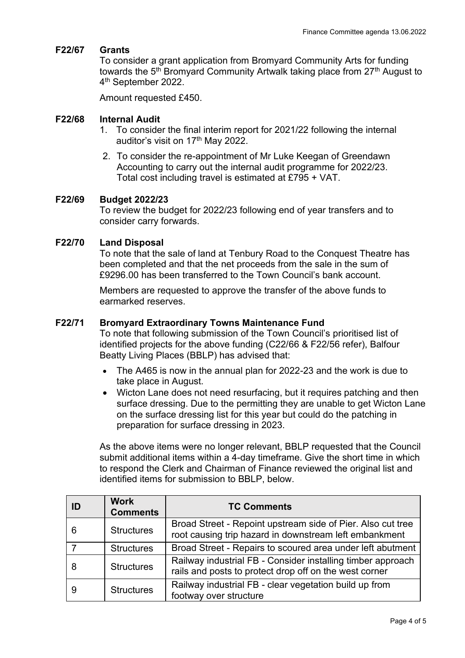#### **F22/67 Grants**

To consider a grant application from Bromyard Community Arts for funding towards the 5<sup>th</sup> Bromyard Community Artwalk taking place from 27<sup>th</sup> August to 4<sup>th</sup> September 2022.

Amount requested £450.

#### **F22/68 Internal Audit**

- 1. To consider the final interim report for 2021/22 following the internal auditor's visit on 17<sup>th</sup> May 2022.
- 2. To consider the re-appointment of Mr Luke Keegan of Greendawn Accounting to carry out the internal audit programme for 2022/23. Total cost including travel is estimated at £795 + VAT.

#### **F22/69 Budget 2022/23**

To review the budget for 2022/23 following end of year transfers and to consider carry forwards.

#### **F22/70 Land Disposal**

To note that the sale of land at Tenbury Road to the Conquest Theatre has been completed and that the net proceeds from the sale in the sum of £9296.00 has been transferred to the Town Council's bank account.

Members are requested to approve the transfer of the above funds to earmarked reserves.

#### **F22/71 Bromyard Extraordinary Towns Maintenance Fund**

To note that following submission of the Town Council's prioritised list of identified projects for the above funding (C22/66 & F22/56 refer), Balfour Beatty Living Places (BBLP) has advised that:

- The A465 is now in the annual plan for 2022-23 and the work is due to take place in August.
- Wicton Lane does not need resurfacing, but it requires patching and then surface dressing. Due to the permitting they are unable to get Wicton Lane on the surface dressing list for this year but could do the patching in preparation for surface dressing in 2023.

As the above items were no longer relevant, BBLP requested that the Council submit additional items within a 4-day timeframe. Give the short time in which to respond the Clerk and Chairman of Finance reviewed the original list and identified items for submission to BBLP, below.

| ID | <b>Work</b><br><b>Comments</b> | <b>TC Comments</b>                                                                                                    |  |
|----|--------------------------------|-----------------------------------------------------------------------------------------------------------------------|--|
| 6  | <b>Structures</b>              | Broad Street - Repoint upstream side of Pier. Also cut tree<br>root causing trip hazard in downstream left embankment |  |
|    | <b>Structures</b>              | Broad Street - Repairs to scoured area under left abutment                                                            |  |
| 8  | <b>Structures</b>              | Railway industrial FB - Consider installing timber approach<br>rails and posts to protect drop off on the west corner |  |
|    | <b>Structures</b>              | Railway industrial FB - clear vegetation build up from<br>footway over structure                                      |  |